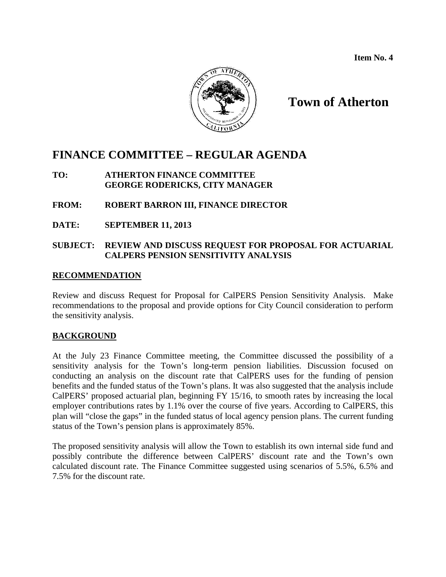**Item No. 4**



# **Town of Atherton**

# **FINANCE COMMITTEE – REGULAR AGENDA**

**TO: ATHERTON FINANCE COMMITTEE GEORGE RODERICKS, CITY MANAGER**

# **FROM: ROBERT BARRON III, FINANCE DIRECTOR**

**DATE: SEPTEMBER 11, 2013**

# **SUBJECT: REVIEW AND DISCUSS REQUEST FOR PROPOSAL FOR ACTUARIAL CALPERS PENSION SENSITIVITY ANALYSIS**

#### **RECOMMENDATION**

Review and discuss Request for Proposal for CalPERS Pension Sensitivity Analysis. Make recommendations to the proposal and provide options for City Council consideration to perform the sensitivity analysis.

# **BACKGROUND**

At the July 23 Finance Committee meeting, the Committee discussed the possibility of a sensitivity analysis for the Town's long-term pension liabilities. Discussion focused on conducting an analysis on the discount rate that CalPERS uses for the funding of pension benefits and the funded status of the Town's plans. It was also suggested that the analysis include CalPERS' proposed actuarial plan, beginning FY 15/16, to smooth rates by increasing the local employer contributions rates by 1.1% over the course of five years. According to CalPERS, this plan will "close the gaps" in the funded status of local agency pension plans. The current funding status of the Town's pension plans is approximately 85%.

The proposed sensitivity analysis will allow the Town to establish its own internal side fund and possibly contribute the difference between CalPERS' discount rate and the Town's own calculated discount rate. The Finance Committee suggested using scenarios of 5.5%, 6.5% and 7.5% for the discount rate.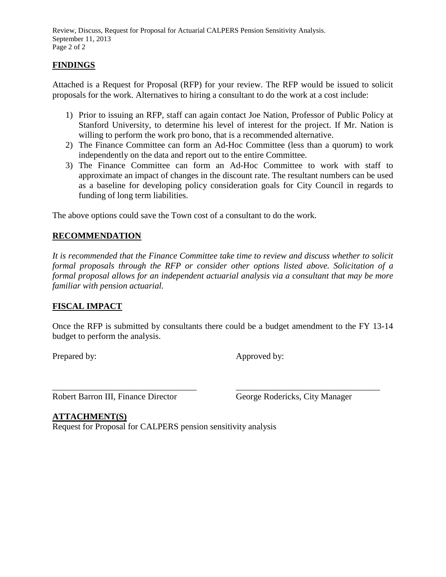Review, Discuss, Request for Proposal for Actuarial CALPERS Pension Sensitivity Analysis. September 11, 2013 Page 2 of 2

## **FINDINGS**

Attached is a Request for Proposal (RFP) for your review. The RFP would be issued to solicit proposals for the work. Alternatives to hiring a consultant to do the work at a cost include:

- 1) Prior to issuing an RFP, staff can again contact Joe Nation, Professor of Public Policy at Stanford University, to determine his level of interest for the project. If Mr. Nation is willing to perform the work pro bono, that is a recommended alternative.
- 2) The Finance Committee can form an Ad-Hoc Committee (less than a quorum) to work independently on the data and report out to the entire Committee.
- 3) The Finance Committee can form an Ad-Hoc Committee to work with staff to approximate an impact of changes in the discount rate. The resultant numbers can be used as a baseline for developing policy consideration goals for City Council in regards to funding of long term liabilities.

The above options could save the Town cost of a consultant to do the work.

#### **RECOMMENDATION**

*It is recommended that the Finance Committee take time to review and discuss whether to solicit formal proposals through the RFP or consider other options listed above. Solicitation of a formal proposal allows for an independent actuarial analysis via a consultant that may be more familiar with pension actuarial.*

# **FISCAL IMPACT**

Once the RFP is submitted by consultants there could be a budget amendment to the FY 13-14 budget to perform the analysis.

Prepared by: Approved by:

\_\_\_\_\_\_\_\_\_\_\_\_\_\_\_\_\_\_\_\_\_\_\_\_\_\_\_\_\_\_\_\_\_ \_\_\_\_\_\_\_\_\_\_\_\_\_\_\_\_\_\_\_\_\_\_\_\_\_\_\_\_\_\_\_\_\_ Robert Barron III, Finance Director George Rodericks, City Manager

# **ATTACHMENT(S)**

Request for Proposal for CALPERS pension sensitivity analysis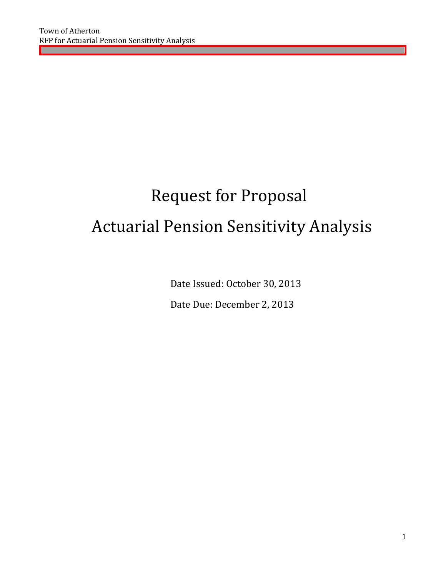# Request for Proposal Actuarial Pension Sensitivity Analysis

Date Issued: October 30, 2013

Date Due: December 2, 2013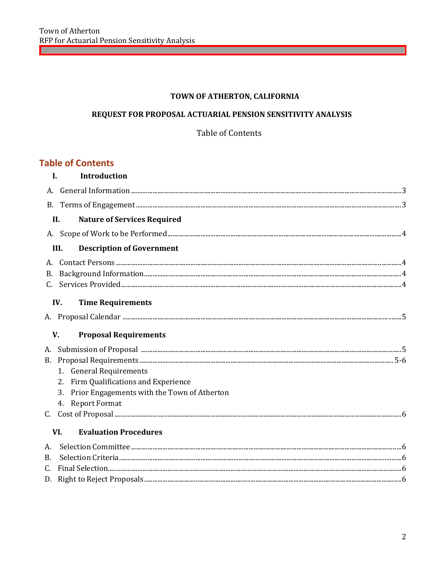# TOWN OF ATHERTON, CALIFORNIA

# REQUEST FOR PROPOSAL ACTUARIAL PENSION SENSITIVITY ANALYSIS

# Table of Contents

# **Table of Contents**

|           | $\mathbf{I}$ .<br>Introduction                    |  |
|-----------|---------------------------------------------------|--|
|           |                                                   |  |
|           |                                                   |  |
|           | II.<br><b>Nature of Services Required</b>         |  |
|           |                                                   |  |
|           | <b>Description of Government</b><br>III.          |  |
|           |                                                   |  |
|           |                                                   |  |
|           |                                                   |  |
|           | IV.<br><b>Time Requirements</b>                   |  |
|           |                                                   |  |
|           |                                                   |  |
|           | V.<br><b>Proposal Requirements</b>                |  |
|           |                                                   |  |
| <b>B.</b> |                                                   |  |
|           | 1. General Requirements                           |  |
|           | 2. Firm Qualifications and Experience             |  |
|           | Prior Engagements with the Town of Atherton<br>3. |  |
|           | 4. Report Format                                  |  |
|           |                                                   |  |
|           | <b>Evaluation Procedures</b><br>VI.               |  |
| А.        |                                                   |  |
| Β.        |                                                   |  |
| C.        |                                                   |  |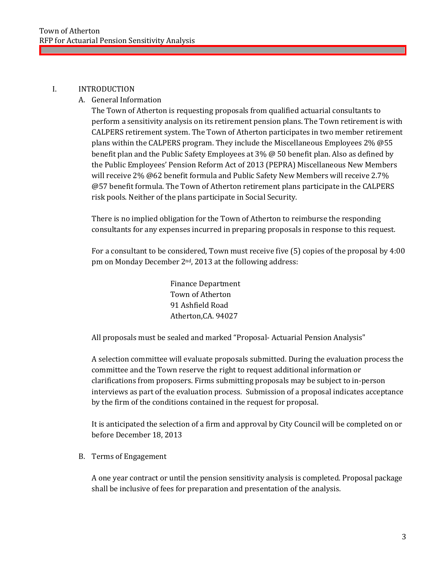#### I. INTRODUCTION

#### A. General Information

The Town of Atherton is requesting proposals from qualified actuarial consultants to perform a sensitivity analysis on its retirement pension plans. The Town retirement is with CALPERS retirement system. The Town of Atherton participates in two member retirement plans within the CALPERS program. They include the Miscellaneous Employees 2% @55 benefit plan and the Public Safety Employees at 3% @ 50 benefit plan. Also as defined by the Public Employees' Pension Reform Act of 2013 (PEPRA) Miscellaneous New Members will receive 2% @62 benefit formula and Public Safety New Members will receive 2.7% @57 benefit formula. The Town of Atherton retirement plans participate in the CALPERS risk pools. Neither of the plans participate in Social Security.

There is no implied obligation for the Town of Atherton to reimburse the responding consultants for any expenses incurred in preparing proposals in response to this request.

For a consultant to be considered, Town must receive five (5) copies of the proposal by 4:00 pm on Monday December 2nd, 2013 at the following address:

> Finance Department Town of Atherton 91 Ashfield Road Atherton,CA. 94027

All proposals must be sealed and marked "Proposal- Actuarial Pension Analysis"

A selection committee will evaluate proposals submitted. During the evaluation process the committee and the Town reserve the right to request additional information or clarifications from proposers. Firms submitting proposals may be subject to in-person interviews as part of the evaluation process. Submission of a proposal indicates acceptance by the firm of the conditions contained in the request for proposal.

It is anticipated the selection of a firm and approval by City Council will be completed on or before December 18, 2013

#### B. Terms of Engagement

A one year contract or until the pension sensitivity analysis is completed. Proposal package shall be inclusive of fees for preparation and presentation of the analysis.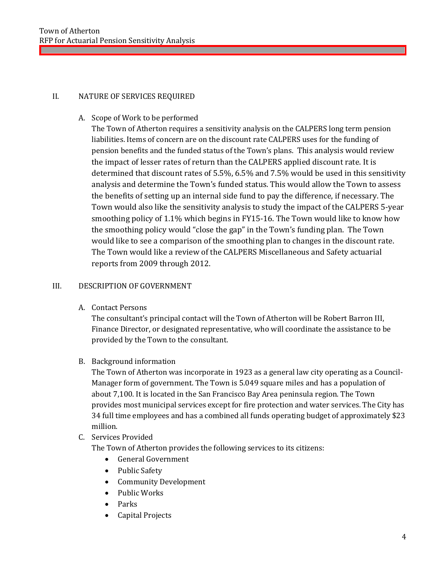## II. NATURE OF SERVICES REQUIRED

## A. Scope of Work to be performed

The Town of Atherton requires a sensitivity analysis on the CALPERS long term pension liabilities. Items of concern are on the discount rate CALPERS uses for the funding of pension benefits and the funded status of the Town's plans. This analysis would review the impact of lesser rates of return than the CALPERS applied discount rate. It is determined that discount rates of 5.5%, 6.5% and 7.5% would be used in this sensitivity analysis and determine the Town's funded status. This would allow the Town to assess the benefits of setting up an internal side fund to pay the difference, if necessary. The Town would also like the sensitivity analysis to study the impact of the CALPERS 5-year smoothing policy of 1.1% which begins in FY15-16. The Town would like to know how the smoothing policy would "close the gap" in the Town's funding plan. The Town would like to see a comparison of the smoothing plan to changes in the discount rate. The Town would like a review of the CALPERS Miscellaneous and Safety actuarial reports from 2009 through 2012.

#### III. DESCRIPTION OF GOVERNMENT

A. Contact Persons

The consultant's principal contact will the Town of Atherton will be Robert Barron III, Finance Director, or designated representative, who will coordinate the assistance to be provided by the Town to the consultant.

B. Background information

The Town of Atherton was incorporate in 1923 as a general law city operating as a Council-Manager form of government. The Town is 5.049 square miles and has a population of about 7,100. It is located in the San Francisco Bay Area peninsula region. The Town provides most municipal services except for fire protection and water services. The City has 34 full time employees and has a combined all funds operating budget of approximately \$23 million.

C. Services Provided

The Town of Atherton provides the following services to its citizens:

- General Government
- Public Safety
- Community Development
- Public Works
- Parks
- Capital Projects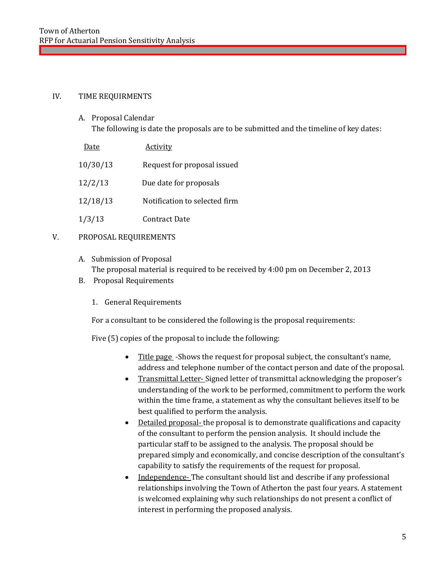#### IV. TIME REQUIRMENTS

- A. Proposal Calendar The following is date the proposals are to be submitted and the timeline of key dates:
- Date Activity 10/30/13 Request for proposal issued 12/2/13 Due date for proposals 12/18/13 Notification to selected firm 1/3/13 Contract Date

#### V. PROPOSAL REQUIREMENTS

- A. Submission of Proposal The proposal material is required to be received by 4:00 pm on December 2, 2013
- B. Proposal Requirements
	- 1. General Requirements

For a consultant to be considered the following is the proposal requirements:

Five (5) copies of the proposal to include the following:

- Title page -Shows the request for proposal subject, the consultant's name, address and telephone number of the contact person and date of the proposal.
- Transmittal Letter- Signed letter of transmittal acknowledging the proposer's understanding of the work to be performed, commitment to perform the work within the time frame, a statement as why the consultant believes itself to be best qualified to perform the analysis.
- Detailed proposal- the proposal is to demonstrate qualifications and capacity of the consultant to perform the pension analysis. It should include the particular staff to be assigned to the analysis. The proposal should be prepared simply and economically, and concise description of the consultant's capability to satisfy the requirements of the request for proposal.
- Independence-The consultant should list and describe if any professional relationships involving the Town of Atherton the past four years. A statement is welcomed explaining why such relationships do not present a conflict of interest in performing the proposed analysis.